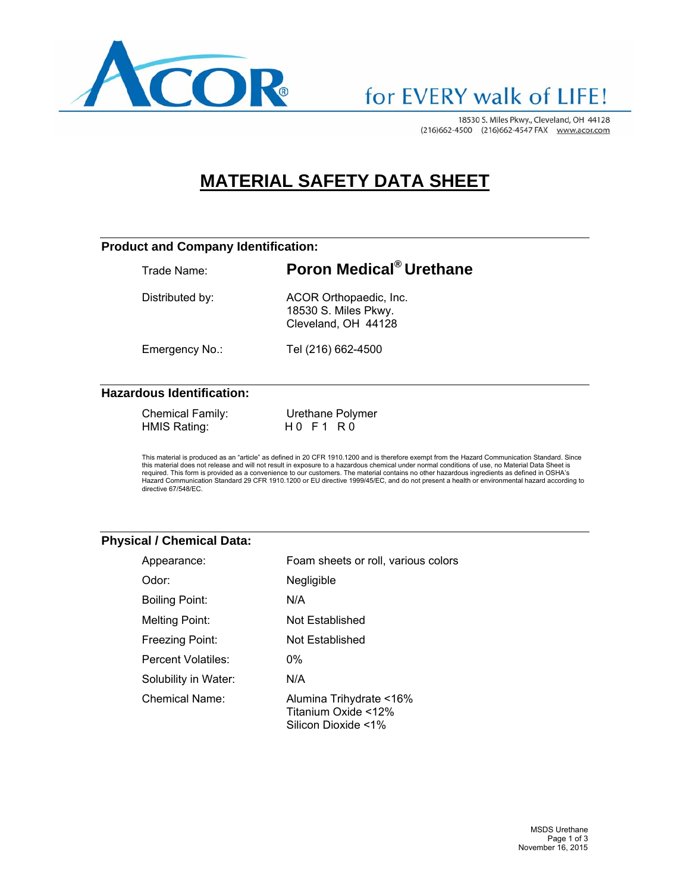

## for EVERY walk of LIFE!

18530 S. Miles Pkwy., Cleveland, OH 44128 (216)662-4500 (216)662-4547 FAX www.acor.com

### **MATERIAL SAFETY DATA SHEET**

#### **Product and Company Identification:**

### Trade Name: **Poron Medical® Urethane**

Distributed by: ACOR Orthopaedic, Inc. 18530 S. Miles Pkwy. Cleveland, OH 44128

Emergency No.: Tel (216) 662-4500

#### **Hazardous Identification:**

| Chemical Family: |  |
|------------------|--|
| HMIS Rating:     |  |

Urethane Polymer HO F 1 R 0

This material is produced as an "article" as defined in 20 CFR 1910.1200 and is therefore exempt from the Hazard Communication Standard. Since<br>this material does not release and will not result in exposure to a hazardous c required. This form is provided as a convenience to our customers. The material contains no other hazardous ingredients as defined in OSHA's Hazard Communication Standard 29 CFR 1910.1200 or EU directive 1999/45/EC, and do not present a health or environmental hazard according to directive 67/548/EC.

#### **Physical / Chemical Data:**

| Appearance:          | Foam sheets or roll, various colors                                   |
|----------------------|-----------------------------------------------------------------------|
| Odor:                | Negligible                                                            |
| Boiling Point:       | N/A                                                                   |
| Melting Point:       | Not Established                                                       |
| Freezing Point:      | Not Established                                                       |
| Percent Volatiles:   | 0%                                                                    |
| Solubility in Water: | N/A                                                                   |
| Chemical Name:       | Alumina Trihydrate <16%<br>Titanium Oxide <12%<br>Silicon Dioxide <1% |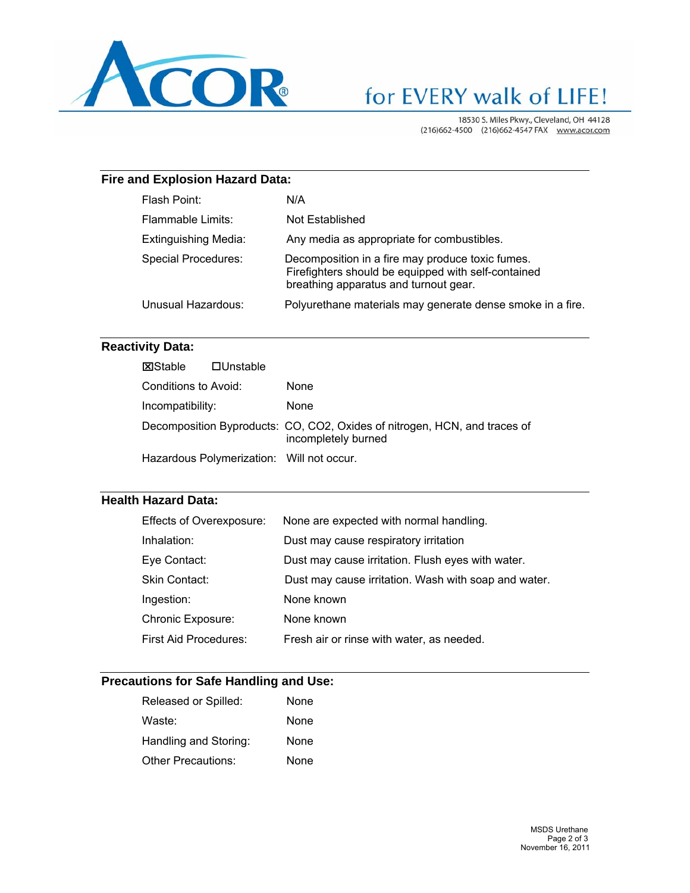

# for EVERY walk of LIFE!

18530 S. Miles Pkwy., Cleveland, OH 44128 (216)662-4500 (216)662-4547 FAX www.acor.com

#### **Fire and Explosion Hazard Data:**

| Flash Point:                | N/A                                                                                                                                              |
|-----------------------------|--------------------------------------------------------------------------------------------------------------------------------------------------|
| Flammable Limits:           | Not Established                                                                                                                                  |
| <b>Extinguishing Media:</b> | Any media as appropriate for combustibles.                                                                                                       |
| Special Procedures:         | Decomposition in a fire may produce toxic fumes.<br>Firefighters should be equipped with self-contained<br>breathing apparatus and turnout gear. |
| Unusual Hazardous:          | Polyurethane materials may generate dense smoke in a fire.                                                                                       |

#### **Reactivity Data:**

| <b>X</b> Stable      | $\square$ Unstable |                                                                                                  |
|----------------------|--------------------|--------------------------------------------------------------------------------------------------|
| Conditions to Avoid: |                    | <b>None</b>                                                                                      |
| Incompatibility:     |                    | <b>None</b>                                                                                      |
|                      |                    | Decomposition Byproducts: CO, CO2, Oxides of nitrogen, HCN, and traces of<br>incompletely burned |
|                      |                    | Hazardous Polymerization: Will not occur.                                                        |

#### **Health Hazard Data:**

| Effects of Overexposure: | None are expected with normal handling.              |
|--------------------------|------------------------------------------------------|
| Inhalation:              | Dust may cause respiratory irritation                |
| Eye Contact:             | Dust may cause irritation. Flush eyes with water.    |
| Skin Contact:            | Dust may cause irritation. Wash with soap and water. |
| Ingestion:               | None known                                           |
| <b>Chronic Exposure:</b> | None known                                           |
| First Aid Procedures:    | Fresh air or rinse with water, as needed.            |

#### **Precautions for Safe Handling and Use:**

| Released or Spilled:      | None |
|---------------------------|------|
| Waste:                    | None |
| Handling and Storing:     | None |
| <b>Other Precautions:</b> | None |